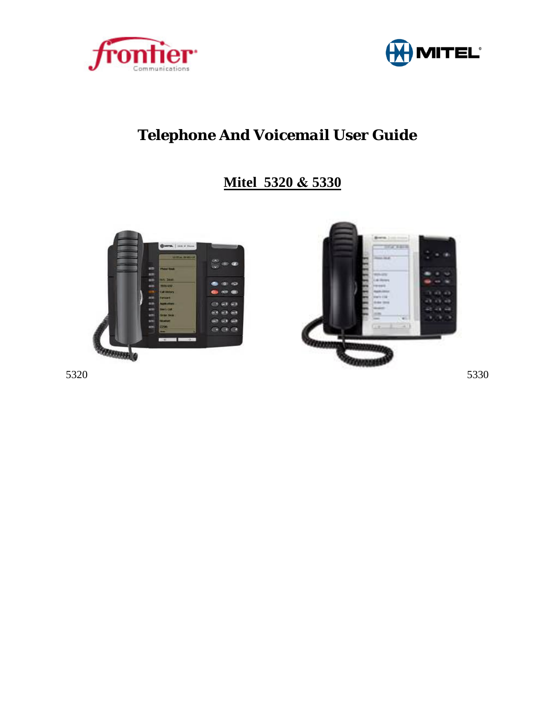



# *Telephone And Voicemail User Guide*

# **Mitel 5320 & 5330**



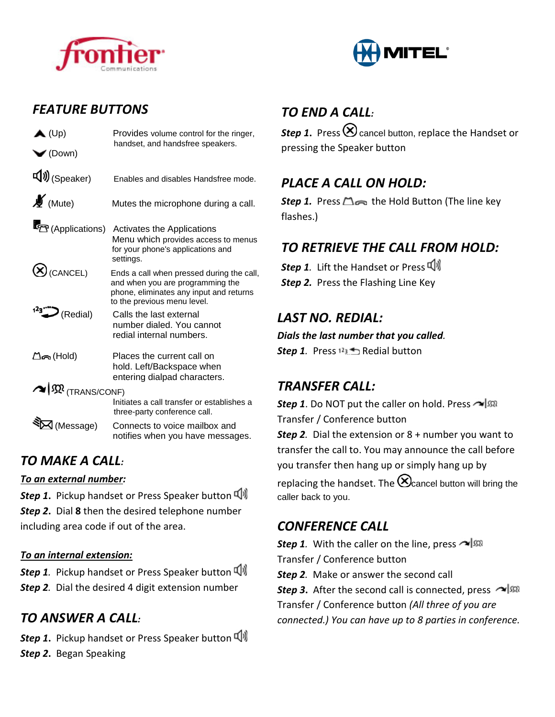



### *FEATURE BUTTONS*

| $\blacktriangle$ (Up)                | Provides volume control for the ringer,<br>handset, and handsfree speakers.                                                                             |
|--------------------------------------|---------------------------------------------------------------------------------------------------------------------------------------------------------|
| $\blacktriangleright$ (Down)         |                                                                                                                                                         |
| $\Psi$ (Speaker)                     | Enables and disables Handsfree mode.                                                                                                                    |
| $\mathcal{L}_{\text{(Mute)}}$        | Mutes the microphone during a call.                                                                                                                     |
| (Applications)                       | <b>Activates the Applications</b><br>Menu which provides access to menus<br>for your phone's applications and<br>settings.                              |
| $\bigotimes$ (CANCEL)                | Ends a call when pressed during the call,<br>and when you are programming the<br>phone, eliminates any input and returns<br>to the previous menu level. |
| $123$ (Redial)                       | Calls the last external<br>number dialed. You cannot<br>redial internal numbers.                                                                        |
| ∆ිക (Hold)                           | Places the current call on<br>hold. Left/Backspace when<br>entering dialpad characters.                                                                 |
| $\sim$ $\mathfrak{M}_{(TRANS/CONF)}$ |                                                                                                                                                         |
|                                      | Initiates a call transfer or establishes a<br>three-party conference call.                                                                              |
| $\Delta$ (Message)                   | Connects to voice mailbox and<br>notifies when you have messages.                                                                                       |

# *TO MAKE A CALL:*

#### *To an external number:*

*Step 1***.** Pickup handset or Press Speaker button *Step 2***.** Dial **8** then the desired telephone number including area code if out of the area.

#### *To an internal extension:*

**Step 1**. Pickup handset or Press Speaker button  $\Psi$ *Step 2.* Dial the desired 4 digit extension number

# *TO ANSWER A CALL:*

*Step 1***.** Pickup handset or Press Speaker button *Step 2***.** Began Speaking

# *TO END A CALL:*

**Step 1.** Press  $\bigotimes$  cancel button, replace the Handset or pressing the Speaker button

# *PLACE A CALL ON HOLD:*

*Step 1.* Press △∞ the Hold Button (The line key flashes.)

# *TO RETRIEVE THE CALL FROM HOLD:*

**Step 1.** Lift the Handset or Press (1) **Step 2.** Press the Flashing Line Key

## *LAST NO. REDIAL:*

*Dials the last number that you called.* 

**Step 1.** Press  $12 \pm 3$  Redial button

#### *TRANSFER CALL:*

**Step 1**. Do NOT put the caller on hold. Press  $\sim$   $\sqrt{\Omega}$ Transfer / Conference button *Step 2.* Dial the extension or 8 + number you want to transfer the call to. You may announce the call before you transfer then hang up or simply hang up by replacing the handset. The  $\bigotimes_{\text{cancel}}$  button will bring the caller back to you.

#### *CONFERENCE CALL*

**Step 1**. With the caller on the line, press Transfer / Conference button

*Step 2.* Make or answer the second call

**Step 3.** After the second call is connected, press  $\sim$   $\sqrt{50}$ Transfer / Conference button *(All three of you are connected.) You can have up to 8 parties in conference.*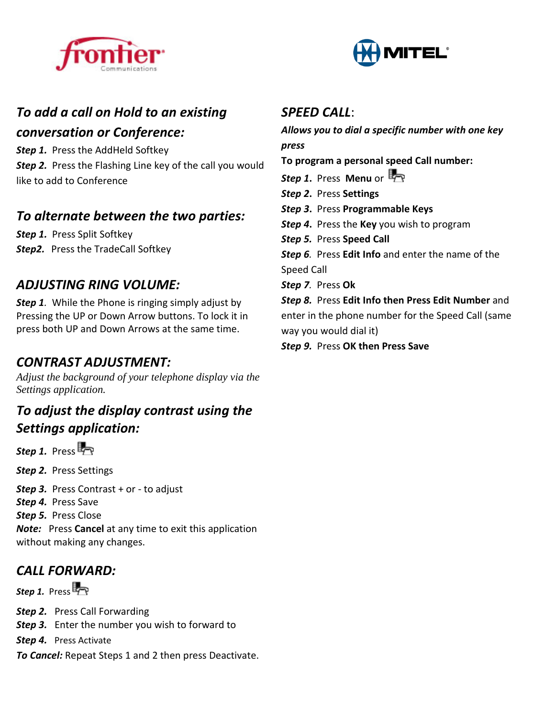



#### *To add a call on Hold to an existing*

#### *conversation or Conference:*

*Step 1.* Press the AddHeld Softkey

**Step 2.** Press the Flashing Line key of the call you would like to add to Conference

#### *To alternate between the two parties:*

*Step 1.* Press Split Softkey **Step2.** Press the TradeCall Softkey

#### *ADJUSTING RING VOLUME:*

*Step 1.* While the Phone is ringing simply adjust by Pressing the UP or Down Arrow buttons. To lock it in press both UP and Down Arrows at the same time.

### *CONTRAST ADJUSTMENT:*

*Adjust the background of your telephone display via the Settings application.* 

#### *To adjust the display contrast using the Settings application:*

*Step 1.* Press<sub>p</sub>

*Step 2.* Press Settings

*Step 3.* Press Contrast + or - to adjust

Step 4. Press Save

*Step 5.* Press Close

*Note:* Press **Cancel** at any time to exit this application without making any changes.

# *CALL FORWARD:*

*Step 1.* Press<sub>FR</sub>

**Step 2.** Press Call Forwarding

*Step 3.*Enter the number you wish to forward to

*Step 4.* Press Activate

*To Cancel:* Repeat Steps 1 and 2 then press Deactivate.

#### *SPEED CALL*:

*Allows you to dial a specific number with one key press*

**To program a personal speed Call number:**

- *Step 1***.** Press **Menu** or
- *Step 2***.** Press **Settings**
- *Step 3***.** Press **Programmable Keys**
- *Step 4***.** Press the **Key** you wish to program
- *Step 5.* Press **Speed Call**

*Step 6.* Press **Edit Info** and enter the name of the

Speed Call

*Step 7.* Press **Ok** 

*Step 8.* Press **Edit Info then Press Edit Number** and enter in the phone number for the Speed Call (same way you would dial it)

*Step 9.* Press **OK then Press Save**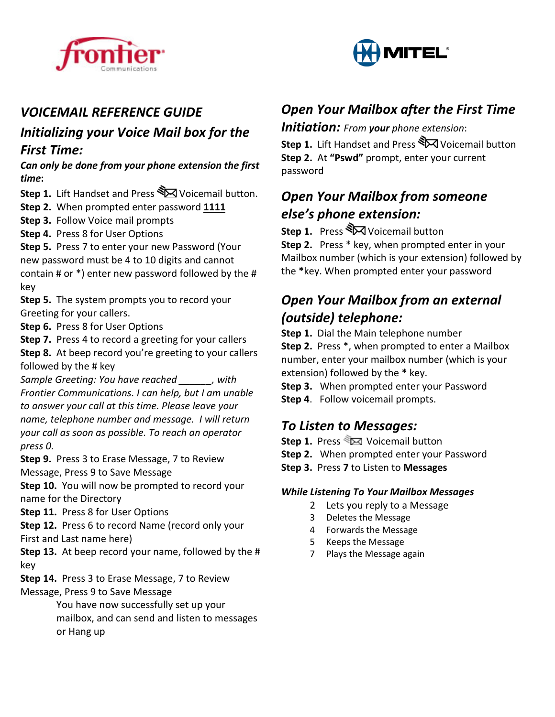



### *VOICEMAIL REFERENCE GUIDE*

#### *Initializing your Voice Mail box for the First Time:*

*Can only be done from your phone extension the first time***:** 

- **Step 1.** Lift Handset and Press **X** Voicemail button.
- **Step 2.** When prompted enter password **1111**
- **Step 3.** Follow Voice mail prompts
- **Step 4.** Press 8 for User Options
- **Step 5.** Press 7 to enter your new Password (Your new password must be 4 to 10 digits and cannot contain # or \*) enter new password followed by the # key

**Step 5.** The system prompts you to record your Greeting for your callers.

- **Step 6.** Press 8 for User Options
- **Step 7.** Press 4 to record a greeting for your callers

**Step 8.** At beep record you're greeting to your callers followed by the # key

*Sample Greeting: You have reached \_\_\_\_\_\_, with Frontier Communications. I can help, but I am unable to answer your call at this time. Please leave your name, telephone number and message. I will return your call as soon as possible. To reach an operator press 0.*

**Step 9.** Press 3 to Erase Message, 7 to Review Message, Press 9 to Save Message

**Step 10.** You will now be prompted to record your name for the Directory

#### **Step 11.** Press 8 for User Options

**Step 12.** Press 6 to record Name (record only your First and Last name here)

**Step 13.** At beep record your name, followed by the # key

**Step 14.** Press 3 to Erase Message, 7 to Review Message, Press 9 to Save Message

> You have now successfully set up your mailbox, and can send and listen to messages or Hang up

#### *Open Your Mailbox after the First Time*

*Initiation: From your phone extension*:

**Step 1.** Lift Handset and Press  $\sum$  Voicemail button **Step 2.** At **"Pswd"** prompt, enter your current password

## *Open Your Mailbox from someone else's phone extension:*

**Step 1.** Press  $\sum$  Voicemail button

**Step 2.** Press \* key, when prompted enter in your Mailbox number (which is your extension) followed by the **\***key. When prompted enter your password

## *Open Your Mailbox from an external (outside) telephone:*

**Step 1.** Dial the Main telephone number

**Step 2.** Press \*, when prompted to enter a Mailbox number, enter your mailbox number (which is your extension) followed by the **\*** key.

- **Step 3.** When prompted enter your Password
- **Step 4**. Follow voicemail prompts.

#### *To Listen to Messages:*

- **Step 1.** Press  $\mathbb{Z}$  Voicemail button
- **Step 2.** When prompted enter your Password
- **Step 3.** Press **7** to Listen to **Messages**

#### *While Listening To Your Mailbox Messages*

- 2 Lets you reply to a Message
- 3 Deletes the Message
- 4 Forwards the Message
- 5 Keeps the Message
- 7 Plays the Message again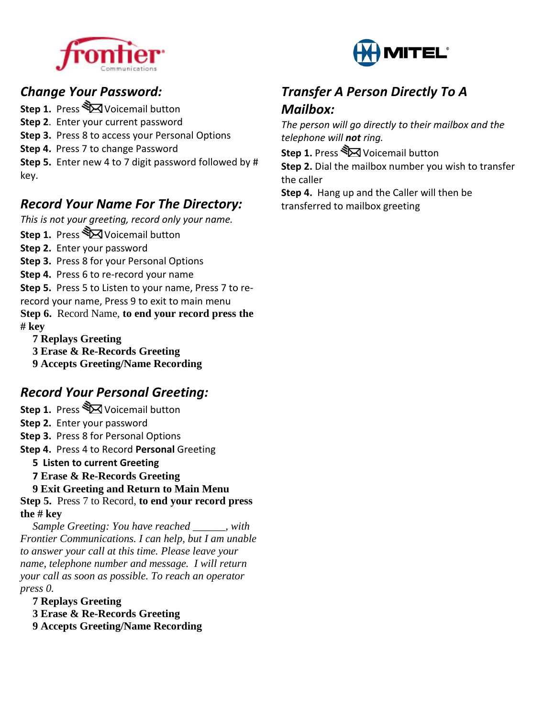



*The person will go directly to their mailbox and the* 

**Step 2.** Dial the mailbox number you wish to transfer

*Transfer A Person Directly To A* 

**Step 4.** Hang up and the Caller will then be

**Step 1.** Press  $\sum$  Voicemail button

transferred to mailbox greeting

*Mailbox:* 

the caller

*telephone will not ring.* 

## *Change Your Password:*

**Step 1.** Press  $\sum$  Voicemail button

- **Step 2**. Enter your current password
- **Step 3.** Press 8 to access your Personal Options
- **Step 4.** Press 7 to change Password

**Step 5.** Enter new 4 to 7 digit password followed by # key.

# *Record Your Name For The Directory:*

*This is not your greeting, record only your name.*

- **Step 1.** Press  $\sum$  Voicemail button
- **Step 2.** Enter your password

**Step 3.** Press 8 for your Personal Options

**Step 4.** Press 6 to re-record your name

**Step 5.** Press 5 to Listen to your name, Press 7 to rerecord your name, Press 9 to exit to main menu **Step 6.** Record Name, **to end your record press the # key**

- **7 Replays Greeting**
- **3 Erase & Re-Records Greeting**
- **9 Accepts Greeting/Name Recording**

# *Record Your Personal Greeting:*

**Step 1.** Press **Stall** Voicemail button

**Step 2.** Enter your password

**Step 3.** Press 8 for Personal Options

**Step 4.** Press 4 to Record **Personal** Greeting

- **5 Listen to current Greeting**
- **7 Erase & Re-Records Greeting**

**9 Exit Greeting and Return to Main Menu** 

**Step 5.** Press 7 to Record, **to end your record press the # key**

*Sample Greeting: You have reached \_\_\_\_\_\_, with Frontier Communications. I can help, but I am unable to answer your call at this time. Please leave your name, telephone number and message. I will return your call as soon as possible. To reach an operator press 0.* 

**7 Replays Greeting**

**3 Erase & Re-Records Greeting**

**9 Accepts Greeting/Name Recording**